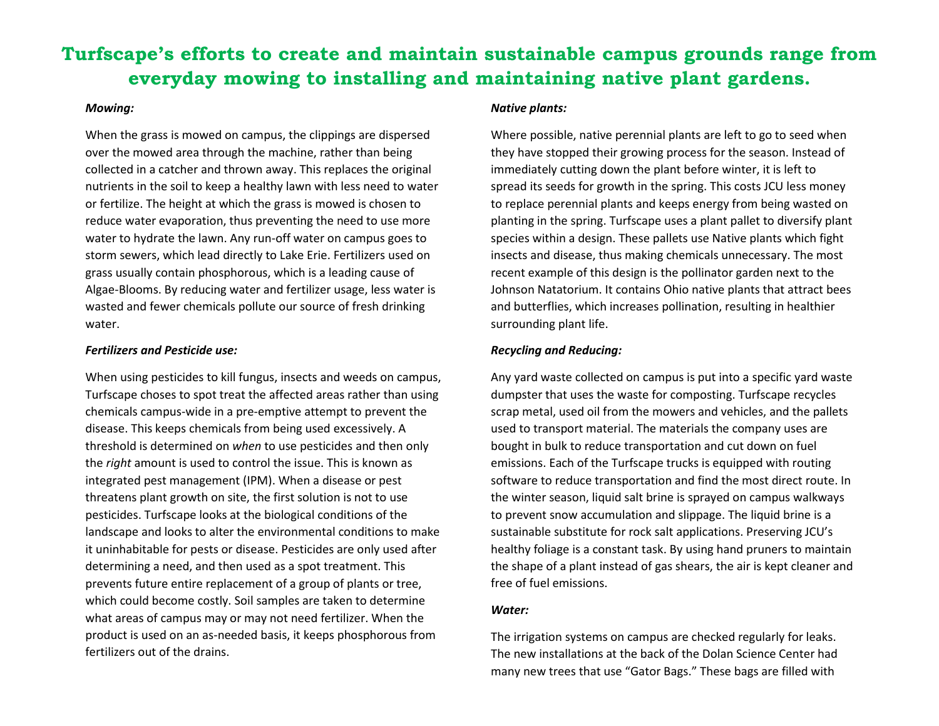# **Turfscape's efforts to create and maintain sustainable campus grounds range from everyday mowing to installing and maintaining native plant gardens.**

#### *Mowing:*

When the grass is mowed on campus, the clippings are dispersed over the mowed area through the machine, rather than being collected in a catcher and thrown away. This replaces the original nutrients in the soil to keep a healthy lawn with less need to water or fertilize. The height at which the grass is mowed is chosen to reduce water evaporation, thus preventing the need to use more water to hydrate the lawn. Any run-off water on campus goes to storm sewers, which lead directly to Lake Erie. Fertilizers used on grass usually contain phosphorous, which is a leading cause of Algae-Blooms. By reducing water and fertilizer usage, less water is wasted and fewer chemicals pollute our source of fresh drinking water.

#### *Fertilizers and Pesticide use:*

When using pesticides to kill fungus, insects and weeds on campus, Turfscape choses to spot treat the affected areas rather than using chemicals campus-wide in a pre-emptive attempt to prevent the disease. This keeps chemicals from being used excessively. A threshold is determined on *when* to use pesticides and then only the *right* amount is used to control the issue. This is known as integrated pest management (IPM). When a disease or pest threatens plant growth on site, the first solution is not to use pesticides. Turfscape looks at the biological conditions of the landscape and looks to alter the environmental conditions to make it uninhabitable for pests or disease. Pesticides are only used after determining a need, and then used as a spot treatment. This prevents future entire replacement of a group of plants or tree, which could become costly. Soil samples are taken to determine what areas of campus may or may not need fertilizer. When the product is used on an as-needed basis, it keeps phosphorous from fertilizers out of the drains.

#### *Native plants:*

Where possible, native perennial plants are left to go to seed when they have stopped their growing process for the season. Instead of immediately cutting down the plant before winter, it is left to spread its seeds for growth in the spring. This costs JCU less money to replace perennial plants and keeps energy from being wasted on planting in the spring. Turfscape uses a plant pallet to diversify plant species within a design. These pallets use Native plants which fight insects and disease, thus making chemicals unnecessary. The most recent example of this design is the pollinator garden next to the Johnson Natatorium. It contains Ohio native plants that attract bees and butterflies, which increases pollination, resulting in healthier surrounding plant life.

## *Recycling and Reducing:*

Any yard waste collected on campus is put into a specific yard waste dumpster that uses the waste for composting. Turfscape recycles scrap metal, used oil from the mowers and vehicles, and the pallets used to transport material. The materials the company uses are bought in bulk to reduce transportation and cut down on fuel emissions. Each of the Turfscape trucks is equipped with routing software to reduce transportation and find the most direct route. In the winter season, liquid salt brine is sprayed on campus walkways to prevent snow accumulation and slippage. The liquid brine is a sustainable substitute for rock salt applications. Preserving JCU's healthy foliage is a constant task. By using hand pruners to maintain the shape of a plant instead of gas shears, the air is kept cleaner and free of fuel emissions.

## *Water:*

The irrigation systems on campus are checked regularly for leaks. The new installations at the back of the Dolan Science Center had many new trees that use "Gator Bags." These bags are filled with